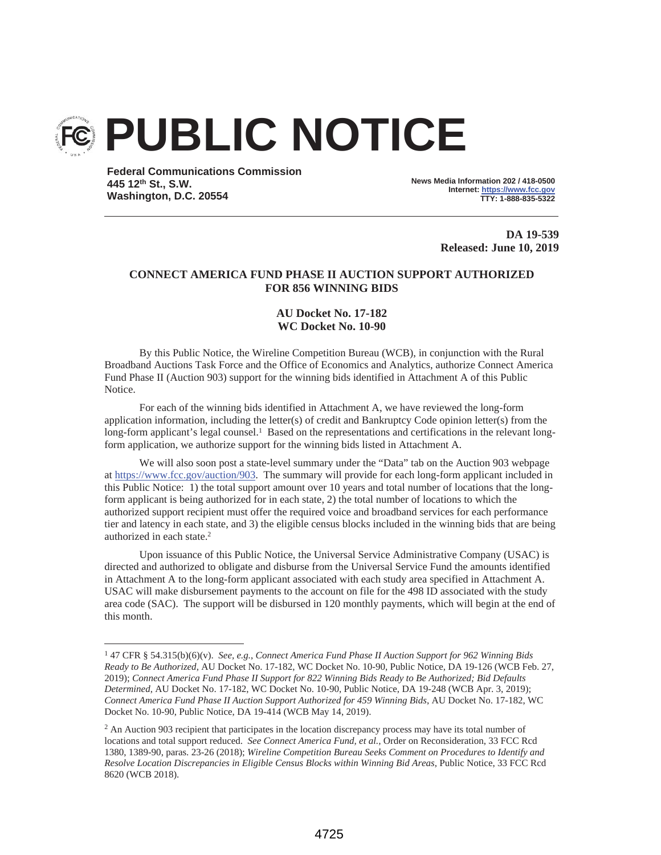

**Federal Communications Commission 445 12th St., S.W. Washington, D.C. 20554**

**News Media Information 202 / 418-0500 Internet: https://www.fcc.gov TTY: 1-888-835-5322**

> **DA 19-539 Released: June 10, 2019**

# **CONNECT AMERICA FUND PHASE II AUCTION SUPPORT AUTHORIZED FOR 856 WINNING BIDS**

## **AU Docket No. 17-182 WC Docket No. 10-90**

By this Public Notice, the Wireline Competition Bureau (WCB), in conjunction with the Rural Broadband Auctions Task Force and the Office of Economics and Analytics, authorize Connect America Fund Phase II (Auction 903) support for the winning bids identified in Attachment A of this Public Notice.

For each of the winning bids identified in Attachment A, we have reviewed the long-form application information, including the letter(s) of credit and Bankruptcy Code opinion letter(s) from the long-form applicant's legal counsel.<sup>1</sup> Based on the representations and certifications in the relevant longform application, we authorize support for the winning bids listed in Attachment A.

We will also soon post a state-level summary under the "Data" tab on the Auction 903 webpage at https://www.fcc.gov/auction/903. The summary will provide for each long-form applicant included in this Public Notice: 1) the total support amount over 10 years and total number of locations that the longform applicant is being authorized for in each state, 2) the total number of locations to which the authorized support recipient must offer the required voice and broadband services for each performance tier and latency in each state, and 3) the eligible census blocks included in the winning bids that are being authorized in each state.2

Upon issuance of this Public Notice, the Universal Service Administrative Company (USAC) is directed and authorized to obligate and disburse from the Universal Service Fund the amounts identified in Attachment A to the long-form applicant associated with each study area specified in Attachment A. USAC will make disbursement payments to the account on file for the 498 ID associated with the study area code (SAC). The support will be disbursed in 120 monthly payments, which will begin at the end of this month.

<sup>1 47</sup> CFR § 54.315(b)(6)(v). *See, e.g.*, *Connect America Fund Phase II Auction Support for 962 Winning Bids Ready to Be Authorized*, AU Docket No. 17-182, WC Docket No. 10-90, Public Notice, DA 19-126 (WCB Feb. 27, 2019); *Connect America Fund Phase II Support for 822 Winning Bids Ready to Be Authorized; Bid Defaults Determined*, AU Docket No. 17-182, WC Docket No. 10-90, Public Notice, DA 19-248 (WCB Apr. 3, 2019); *Connect America Fund Phase II Auction Support Authorized for 459 Winning Bids*, AU Docket No. 17-182, WC Docket No. 10-90, Public Notice, DA 19-414 (WCB May 14, 2019).

<sup>&</sup>lt;sup>2</sup> An Auction 903 recipient that participates in the location discrepancy process may have its total number of locations and total support reduced. *See Connect America Fund, et al.,* Order on Reconsideration, 33 FCC Rcd 1380, 1389-90, paras. 23-26 (2018); *Wireline Competition Bureau Seeks Comment on Procedures to Identify and Resolve Location Discrepancies in Eligible Census Blocks within Winning Bid Areas*, Public Notice, 33 FCC Rcd 8620 (WCB 2018).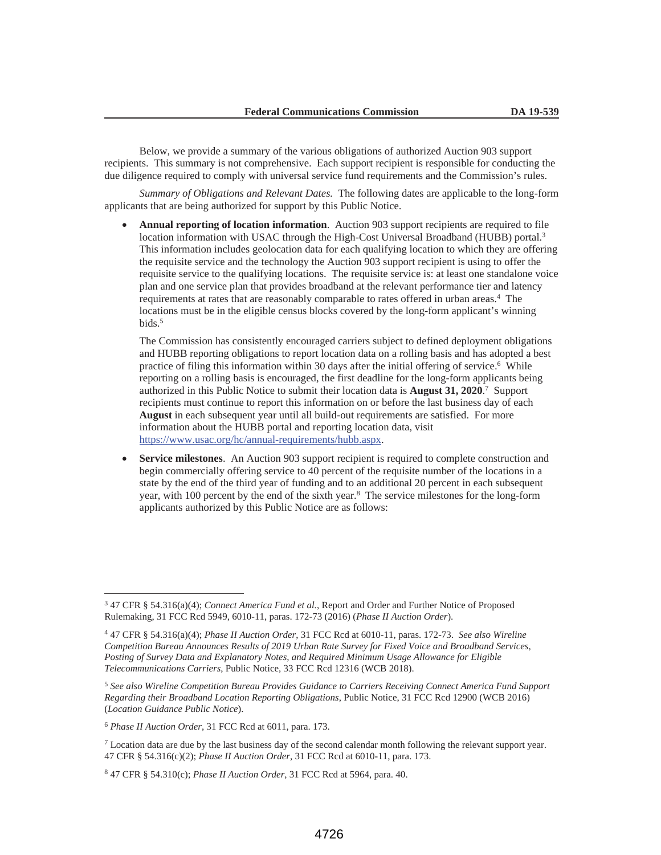Below, we provide a summary of the various obligations of authorized Auction 903 support recipients. This summary is not comprehensive. Each support recipient is responsible for conducting the due diligence required to comply with universal service fund requirements and the Commission's rules.

*Summary of Obligations and Relevant Dates.* The following dates are applicable to the long-form applicants that are being authorized for support by this Public Notice.

• **Annual reporting of location information**. Auction 903 support recipients are required to file location information with USAC through the High-Cost Universal Broadband (HUBB) portal.3 This information includes geolocation data for each qualifying location to which they are offering the requisite service and the technology the Auction 903 support recipient is using to offer the requisite service to the qualifying locations. The requisite service is: at least one standalone voice plan and one service plan that provides broadband at the relevant performance tier and latency requirements at rates that are reasonably comparable to rates offered in urban areas.4 The locations must be in the eligible census blocks covered by the long-form applicant's winning bids.5

The Commission has consistently encouraged carriers subject to defined deployment obligations and HUBB reporting obligations to report location data on a rolling basis and has adopted a best practice of filing this information within 30 days after the initial offering of service.<sup>6</sup> While reporting on a rolling basis is encouraged, the first deadline for the long-form applicants being authorized in this Public Notice to submit their location data is **August 31, 2020**. 7 Support recipients must continue to report this information on or before the last business day of each **August** in each subsequent year until all build-out requirements are satisfied. For more information about the HUBB portal and reporting location data, visit https://www.usac.org/hc/annual-requirements/hubb.aspx.

• **Service milestones**. An Auction 903 support recipient is required to complete construction and begin commercially offering service to 40 percent of the requisite number of the locations in a state by the end of the third year of funding and to an additional 20 percent in each subsequent year, with 100 percent by the end of the sixth year.<sup>8</sup> The service milestones for the long-form applicants authorized by this Public Notice are as follows:

<sup>3 47</sup> CFR § 54.316(a)(4); *Connect America Fund et al.*, Report and Order and Further Notice of Proposed Rulemaking, 31 FCC Rcd 5949, 6010-11, paras. 172-73 (2016) (*Phase II Auction Order*).

<sup>4 47</sup> CFR § 54.316(a)(4); *Phase II Auction Order*, 31 FCC Rcd at 6010-11, paras. 172-73. *See also Wireline Competition Bureau Announces Results of 2019 Urban Rate Survey for Fixed Voice and Broadband Services, Posting of Survey Data and Explanatory Notes, and Required Minimum Usage Allowance for Eligible Telecommunications Carriers*, Public Notice, 33 FCC Rcd 12316 (WCB 2018).

<sup>5</sup> *See also Wireline Competition Bureau Provides Guidance to Carriers Receiving Connect America Fund Support Regarding their Broadband Location Reporting Obligations*, Public Notice, 31 FCC Rcd 12900 (WCB 2016) (*Location Guidance Public Notice*).

<sup>6</sup> *Phase II Auction Order*, 31 FCC Rcd at 6011, para. 173.

<sup>7</sup> Location data are due by the last business day of the second calendar month following the relevant support year. 47 CFR § 54.316(c)(2); *Phase II Auction Order*, 31 FCC Rcd at 6010-11, para. 173.

<sup>8 47</sup> CFR § 54.310(c); *Phase II Auction Order*, 31 FCC Rcd at 5964, para. 40.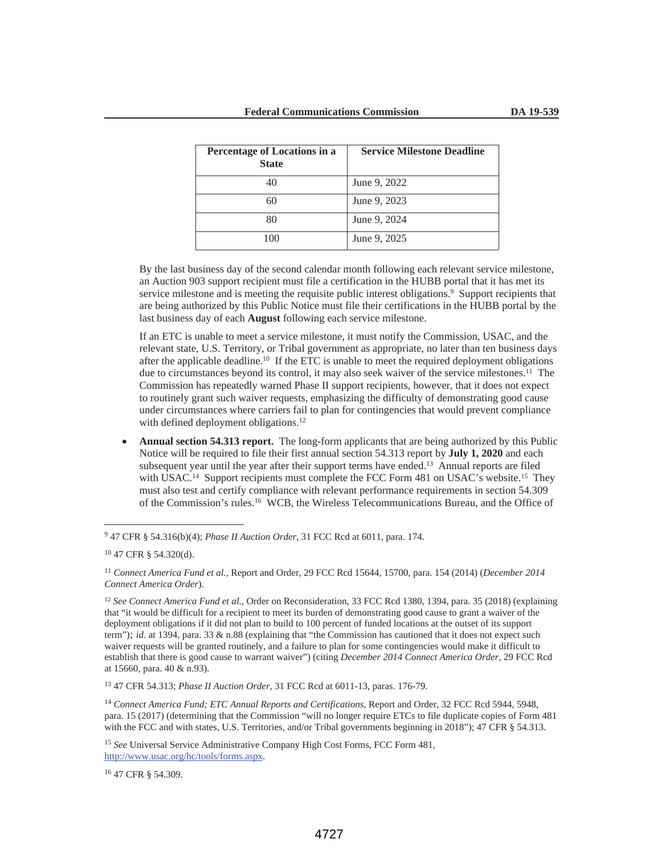| <b>Percentage of Locations in a</b><br><b>State</b> | <b>Service Milestone Deadline</b> |
|-----------------------------------------------------|-----------------------------------|
| 40                                                  | June 9, 2022                      |
| 60                                                  | June 9, 2023                      |
| 80                                                  | June 9, 2024                      |
| 100                                                 | June 9, 2025                      |

By the last business day of the second calendar month following each relevant service milestone, an Auction 903 support recipient must file a certification in the HUBB portal that it has met its service milestone and is meeting the requisite public interest obligations.<sup>9</sup> Support recipients that are being authorized by this Public Notice must file their certifications in the HUBB portal by the last business day of each **August** following each service milestone.

If an ETC is unable to meet a service milestone, it must notify the Commission, USAC, and the relevant state, U.S. Territory, or Tribal government as appropriate, no later than ten business days after the applicable deadline.10 If the ETC is unable to meet the required deployment obligations due to circumstances beyond its control, it may also seek waiver of the service milestones.<sup>11</sup> The Commission has repeatedly warned Phase II support recipients, however, that it does not expect to routinely grant such waiver requests, emphasizing the difficulty of demonstrating good cause under circumstances where carriers fail to plan for contingencies that would prevent compliance with defined deployment obligations.<sup>12</sup>

• **Annual section 54.313 report.** The long-form applicants that are being authorized by this Public Notice will be required to file their first annual section 54.313 report by **July 1, 2020** and each subsequent year until the year after their support terms have ended.13 Annual reports are filed with USAC.<sup>14</sup> Support recipients must complete the FCC Form 481 on USAC's website.<sup>15</sup> They must also test and certify compliance with relevant performance requirements in section 54.309 of the Commission's rules.16 WCB, the Wireless Telecommunications Bureau, and the Office of

13 47 CFR 54.313; *Phase II Auction Order*, 31 FCC Rcd at 6011-13, paras. 176-79.

<sup>14</sup> *Connect America Fund; ETC Annual Reports and Certifications*, Report and Order, 32 FCC Rcd 5944, 5948, para. 15 (2017) (determining that the Commission "will no longer require ETCs to file duplicate copies of Form 481 with the FCC and with states, U.S. Territories, and/or Tribal governments beginning in 2018"); 47 CFR § 54.313.

<sup>15</sup> *See* Universal Service Administrative Company High Cost Forms, FCC Form 481, http://www.usac.org/hc/tools/forms.aspx.

16 47 CFR § 54.309.

<sup>9 47</sup> CFR § 54.316(b)(4); *Phase II Auction Order*, 31 FCC Rcd at 6011, para. 174.

<sup>10 47</sup> CFR § 54.320(d).

<sup>11</sup> *Connect America Fund et al.,* Report and Order, 29 FCC Rcd 15644, 15700, para. 154 (2014) (*December 2014 Connect America Order*).

<sup>12</sup> *See Connect America Fund et al.*, Order on Reconsideration, 33 FCC Rcd 1380, 1394, para. 35 (2018) (explaining that "it would be difficult for a recipient to meet its burden of demonstrating good cause to grant a waiver of the deployment obligations if it did not plan to build to 100 percent of funded locations at the outset of its support term"); id. at 1394, para. 33 & n.88 (explaining that "the Commission has cautioned that it does not expect such waiver requests will be granted routinely, and a failure to plan for some contingencies would make it difficult to establish that there is good cause to warrant waiver") (citing *December 2014 Connect America Order*, 29 FCC Rcd at 15660, para. 40 & n.93).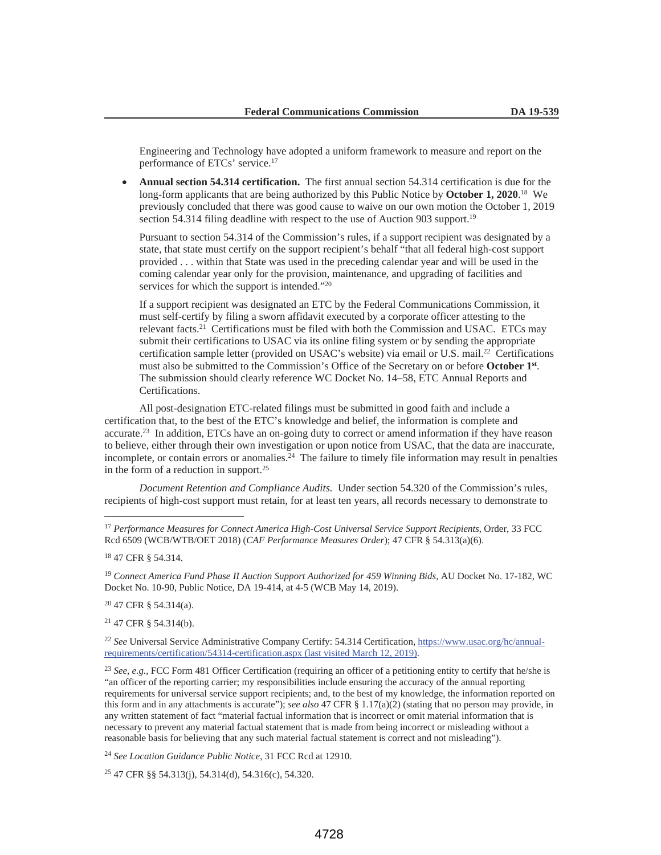Engineering and Technology have adopted a uniform framework to measure and report on the performance of ETCs' service.17

• **Annual section 54.314 certification.** The first annual section 54.314 certification is due for the long-form applicants that are being authorized by this Public Notice by **October 1, 2020**. 18 We previously concluded that there was good cause to waive on our own motion the October 1, 2019 section 54.314 filing deadline with respect to the use of Auction 903 support.<sup>19</sup>

Pursuant to section 54.314 of the Commission's rules, if a support recipient was designated by a state, that state must certify on the support recipient's behalf "that all federal high-cost support provided . . . within that State was used in the preceding calendar year and will be used in the coming calendar year only for the provision, maintenance, and upgrading of facilities and services for which the support is intended."<sup>20</sup>

If a support recipient was designated an ETC by the Federal Communications Commission, it must self-certify by filing a sworn affidavit executed by a corporate officer attesting to the relevant facts.21 Certifications must be filed with both the Commission and USAC. ETCs may submit their certifications to USAC via its online filing system or by sending the appropriate certification sample letter (provided on USAC's website) via email or U.S. mail.22 Certifications must also be submitted to the Commission's Office of the Secretary on or before **October 1st**. The submission should clearly reference WC Docket No. 14–58, ETC Annual Reports and Certifications.

All post-designation ETC-related filings must be submitted in good faith and include a certification that, to the best of the ETC's knowledge and belief, the information is complete and accurate.23 In addition, ETCs have an on-going duty to correct or amend information if they have reason to believe, either through their own investigation or upon notice from USAC, that the data are inaccurate, incomplete, or contain errors or anomalies. $24$  The failure to timely file information may result in penalties in the form of a reduction in support.25

*Document Retention and Compliance Audits.* Under section 54.320 of the Commission's rules, recipients of high-cost support must retain, for at least ten years, all records necessary to demonstrate to

20 47 CFR § 54.314(a).

21 47 CFR § 54.314(b).

<sup>22</sup> *See* Universal Service Administrative Company Certify: 54.314 Certification, https://www.usac.org/hc/annualrequirements/certification/54314-certification.aspx (last visited March 12, 2019).

<sup>23</sup> *See, e.g.*, FCC Form 481 Officer Certification (requiring an officer of a petitioning entity to certify that he/she is "an officer of the reporting carrier; my responsibilities include ensuring the accuracy of the annual reporting requirements for universal service support recipients; and, to the best of my knowledge, the information reported on this form and in any attachments is accurate"); *see also* 47 CFR § 1.17(a)(2) (stating that no person may provide, in any written statement of fact "material factual information that is incorrect or omit material information that is necessary to prevent any material factual statement that is made from being incorrect or misleading without a reasonable basis for believing that any such material factual statement is correct and not misleading").

<sup>24</sup> *See Location Guidance Public Notice*, 31 FCC Rcd at 12910.

25 47 CFR §§ 54.313(j), 54.314(d), 54.316(c), 54.320.

<sup>17</sup> *Performance Measures for Connect America High-Cost Universal Service Support Recipients*, Order, 33 FCC Rcd 6509 (WCB/WTB/OET 2018) (*CAF Performance Measures Order*); 47 CFR § 54.313(a)(6).

<sup>18 47</sup> CFR § 54.314.

<sup>19</sup> *Connect America Fund Phase II Auction Support Authorized for 459 Winning Bids*, AU Docket No. 17-182, WC Docket No. 10-90, Public Notice, DA 19-414, at 4-5 (WCB May 14, 2019).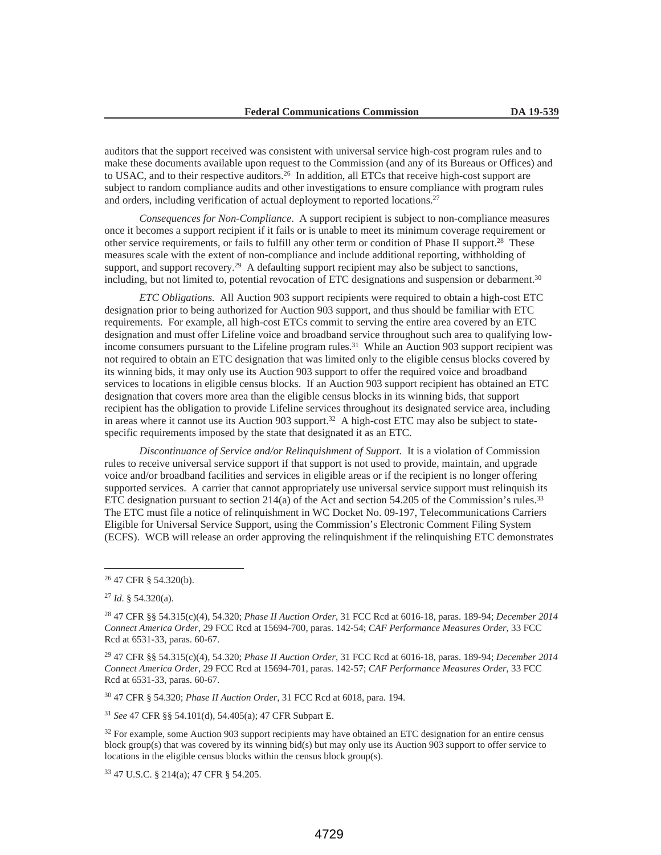auditors that the support received was consistent with universal service high-cost program rules and to make these documents available upon request to the Commission (and any of its Bureaus or Offices) and to USAC, and to their respective auditors.<sup>26</sup> In addition, all ETCs that receive high-cost support are subject to random compliance audits and other investigations to ensure compliance with program rules and orders, including verification of actual deployment to reported locations.<sup>27</sup>

*Consequences for Non-Compliance*. A support recipient is subject to non-compliance measures once it becomes a support recipient if it fails or is unable to meet its minimum coverage requirement or other service requirements, or fails to fulfill any other term or condition of Phase II support.28 These measures scale with the extent of non-compliance and include additional reporting, withholding of support, and support recovery.<sup>29</sup> A defaulting support recipient may also be subject to sanctions, including, but not limited to, potential revocation of ETC designations and suspension or debarment.30

*ETC Obligations.* All Auction 903 support recipients were required to obtain a high-cost ETC designation prior to being authorized for Auction 903 support, and thus should be familiar with ETC requirements. For example, all high-cost ETCs commit to serving the entire area covered by an ETC designation and must offer Lifeline voice and broadband service throughout such area to qualifying lowincome consumers pursuant to the Lifeline program rules.<sup>31</sup> While an Auction 903 support recipient was not required to obtain an ETC designation that was limited only to the eligible census blocks covered by its winning bids, it may only use its Auction 903 support to offer the required voice and broadband services to locations in eligible census blocks. If an Auction 903 support recipient has obtained an ETC designation that covers more area than the eligible census blocks in its winning bids, that support recipient has the obligation to provide Lifeline services throughout its designated service area, including in areas where it cannot use its Auction 903 support.<sup>32</sup> A high-cost ETC may also be subject to statespecific requirements imposed by the state that designated it as an ETC.

*Discontinuance of Service and/or Relinquishment of Support.* It is a violation of Commission rules to receive universal service support if that support is not used to provide, maintain, and upgrade voice and/or broadband facilities and services in eligible areas or if the recipient is no longer offering supported services. A carrier that cannot appropriately use universal service support must relinquish its ETC designation pursuant to section  $214(a)$  of the Act and section 54.205 of the Commission's rules.<sup>33</sup> The ETC must file a notice of relinquishment in WC Docket No. 09-197, Telecommunications Carriers Eligible for Universal Service Support, using the Commission's Electronic Comment Filing System (ECFS). WCB will release an order approving the relinquishment if the relinquishing ETC demonstrates

30 47 CFR § 54.320; *Phase II Auction Order*, 31 FCC Rcd at 6018, para. 194.

<sup>31</sup> *See* 47 CFR §§ 54.101(d), 54.405(a); 47 CFR Subpart E.

33 47 U.S.C. § 214(a); 47 CFR § 54.205.

<sup>26 47</sup> CFR § 54.320(b).

<sup>27</sup> *Id*. § 54.320(a).

<sup>28 47</sup> CFR §§ 54.315(c)(4), 54.320; *Phase II Auction Order*, 31 FCC Rcd at 6016-18, paras. 189-94; *December 2014 Connect America Order*, 29 FCC Rcd at 15694-700, paras. 142-54; *CAF Performance Measures Order*, 33 FCC Rcd at 6531-33, paras. 60-67.

<sup>29 47</sup> CFR §§ 54.315(c)(4), 54.320; *Phase II Auction Order*, 31 FCC Rcd at 6016-18, paras. 189-94; *December 2014 Connect America Order*, 29 FCC Rcd at 15694-701, paras. 142-57; *CAF Performance Measures Order*, 33 FCC Rcd at 6531-33, paras. 60-67.

<sup>&</sup>lt;sup>32</sup> For example, some Auction 903 support recipients may have obtained an ETC designation for an entire census block group(s) that was covered by its winning bid(s) but may only use its Auction 903 support to offer service to locations in the eligible census blocks within the census block group(s).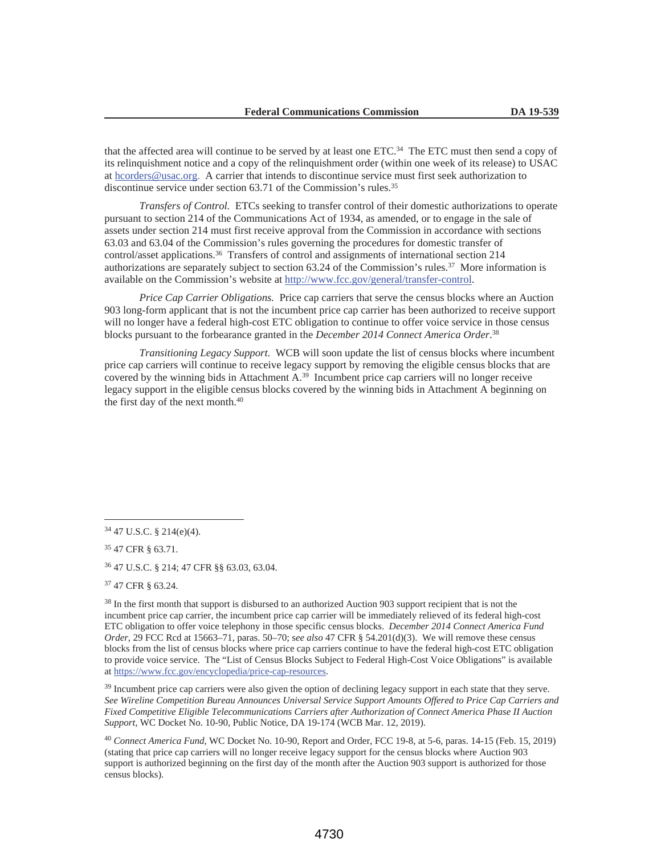that the affected area will continue to be served by at least one ETC.34 The ETC must then send a copy of its relinquishment notice and a copy of the relinquishment order (within one week of its release) to USAC at hcorders@usac.org. A carrier that intends to discontinue service must first seek authorization to discontinue service under section 63.71 of the Commission's rules.<sup>35</sup>

*Transfers of Control.* ETCs seeking to transfer control of their domestic authorizations to operate pursuant to section 214 of the Communications Act of 1934, as amended, or to engage in the sale of assets under section 214 must first receive approval from the Commission in accordance with sections 63.03 and 63.04 of the Commission's rules governing the procedures for domestic transfer of control/asset applications.36 Transfers of control and assignments of international section 214 authorizations are separately subject to section 63.24 of the Commission's rules.37 More information is available on the Commission's website at http://www.fcc.gov/general/transfer-control.

*Price Cap Carrier Obligations.* Price cap carriers that serve the census blocks where an Auction 903 long-form applicant that is not the incumbent price cap carrier has been authorized to receive support will no longer have a federal high-cost ETC obligation to continue to offer voice service in those census blocks pursuant to the forbearance granted in the *December 2014 Connect America Order*. 38

*Transitioning Legacy Support*. WCB will soon update the list of census blocks where incumbent price cap carriers will continue to receive legacy support by removing the eligible census blocks that are covered by the winning bids in Attachment A.<sup>39</sup> Incumbent price cap carriers will no longer receive legacy support in the eligible census blocks covered by the winning bids in Attachment A beginning on the first day of the next month.40

35 47 CFR § 63.71.

36 47 U.S.C. § 214; 47 CFR §§ 63.03, 63.04.

37 47 CFR § 63.24.

<sup>39</sup> Incumbent price cap carriers were also given the option of declining legacy support in each state that they serve. *See Wireline Competition Bureau Announces Universal Service Support Amounts Offered to Price Cap Carriers and Fixed Competitive Eligible Telecommunications Carriers after Authorization of Connect America Phase II Auction Support*, WC Docket No. 10-90, Public Notice, DA 19-174 (WCB Mar. 12, 2019).

<sup>40</sup> *Connect America Fund*, WC Docket No. 10-90, Report and Order, FCC 19-8, at 5-6, paras. 14-15 (Feb. 15, 2019) (stating that price cap carriers will no longer receive legacy support for the census blocks where Auction 903 support is authorized beginning on the first day of the month after the Auction 903 support is authorized for those census blocks).

<sup>34 47</sup> U.S.C. § 214(e)(4).

<sup>38</sup> In the first month that support is disbursed to an authorized Auction 903 support recipient that is not the incumbent price cap carrier, the incumbent price cap carrier will be immediately relieved of its federal high-cost ETC obligation to offer voice telephony in those specific census blocks. *December 2014 Connect America Fund Order*, 29 FCC Rcd at 15663–71, paras. 50–70; s*ee also* 47 CFR § 54.201(d)(3). We will remove these census blocks from the list of census blocks where price cap carriers continue to have the federal high-cost ETC obligation to provide voice service. The "List of Census Blocks Subject to Federal High-Cost Voice Obligations" is available at https://www.fcc.gov/encyclopedia/price-cap-resources.